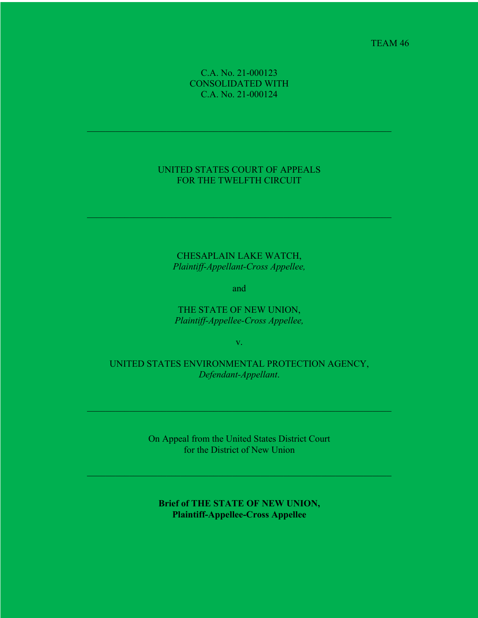TEAM 46

## C.A. No. 21-000123 CONSOLIDATED WITH C.A. No. 21-000124

## UNITED STATES COURT OF APPEALS FOR THE TWELFTH CIRCUIT

CHESAPLAIN LAKE WATCH, *Plaintiff-Appellant-Cross Appellee,*

and

THE STATE OF NEW UNION, *Plaintiff-Appellee-Cross Appellee,*

v.

UNITED STATES ENVIRONMENTAL PROTECTION AGENCY, *Defendant-Appellant*.

> On Appeal from the United States District Court for the District of New Union

**Brief of THE STATE OF NEW UNION, Plaintiff-Appellee-Cross Appellee**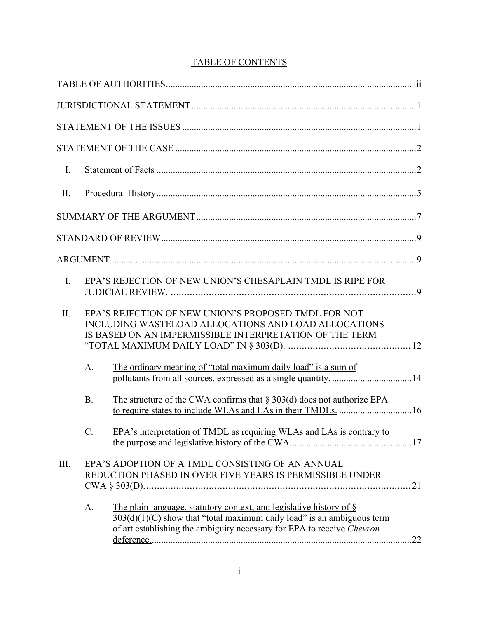# TABLE OF CONTENTS

| $\mathbf{I}$ . |                |                                                                                                                                                                                                                           |
|----------------|----------------|---------------------------------------------------------------------------------------------------------------------------------------------------------------------------------------------------------------------------|
| II.            |                |                                                                                                                                                                                                                           |
|                |                |                                                                                                                                                                                                                           |
|                |                |                                                                                                                                                                                                                           |
|                |                |                                                                                                                                                                                                                           |
| I.             |                | EPA'S REJECTION OF NEW UNION'S CHESAPLAIN TMDL IS RIPE FOR                                                                                                                                                                |
| II.            |                | EPA'S REJECTION OF NEW UNION'S PROPOSED TMDL FOR NOT<br>INCLUDING WASTELOAD ALLOCATIONS AND LOAD ALLOCATIONS<br>IS BASED ON AN IMPERMISSIBLE INTERPRETATION OF THE TERM                                                   |
|                | A <sub>1</sub> | The ordinary meaning of "total maximum daily load" is a sum of                                                                                                                                                            |
|                | <b>B.</b>      | The structure of the CWA confirms that $\S 303(d)$ does not authorize EPA<br>to require states to include WLAs and LAs in their TMDLs.  16                                                                                |
|                | $C$ .          | EPA's interpretation of TMDL as requiring WLAs and LAs is contrary to                                                                                                                                                     |
| III.           |                | EPA'S ADOPTION OF A TMDL CONSISTING OF AN ANNUAL<br>REDUCTION PHASED IN OVER FIVE YEARS IS PERMISSIBLE UNDER                                                                                                              |
|                | A.             | The plain language, statutory context, and legislative history of §<br>$303(d)(1)(C)$ show that "total maximum daily load" is an ambiguous term<br>of art establishing the ambiguity necessary for EPA to receive Chevron |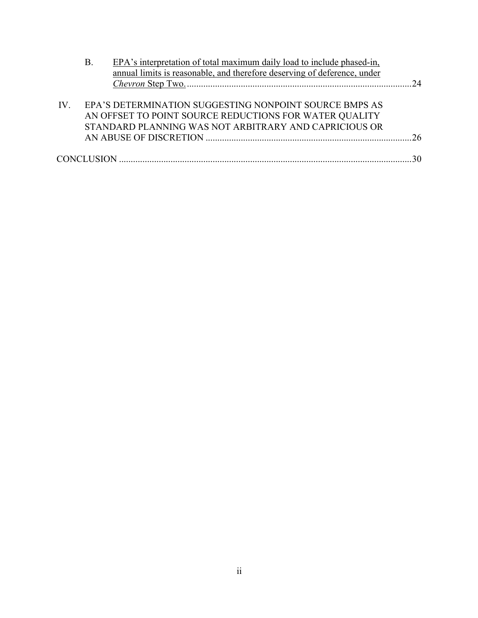|     | Β. | EPA's interpretation of total maximum daily load to include phased-in,   |    |
|-----|----|--------------------------------------------------------------------------|----|
|     |    | annual limits is reasonable, and therefore deserving of deference, under |    |
|     |    |                                                                          | 24 |
|     |    |                                                                          |    |
| IV. |    | EPA'S DETERMINATION SUGGESTING NONPOINT SOURCE BMPS AS                   |    |
|     |    | AN OFFSET TO POINT SOURCE REDUCTIONS FOR WATER QUALITY                   |    |
|     |    | STANDARD PLANNING WAS NOT ARBITRARY AND CAPRICIOUS OR                    |    |
|     |    |                                                                          |    |
|     |    |                                                                          |    |
|     |    |                                                                          |    |
|     |    |                                                                          |    |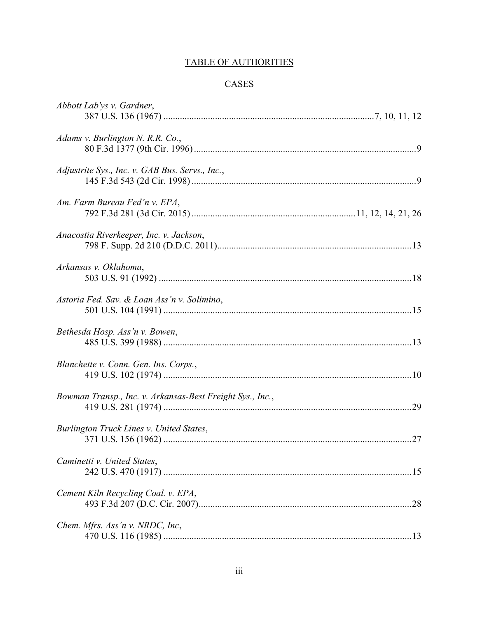# **TABLE OF AUTHORITIES**

# $\mbox{CASES}$

| Abbott Lab'ys v. Gardner,                                 |  |
|-----------------------------------------------------------|--|
| Adams v. Burlington N. R.R. Co.,                          |  |
| Adjustrite Sys., Inc. v. GAB Bus. Servs., Inc.,           |  |
| Am. Farm Bureau Fed'n v. EPA,                             |  |
| Anacostia Riverkeeper, Inc. v. Jackson,                   |  |
| Arkansas v. Oklahoma,                                     |  |
| Astoria Fed. Sav. & Loan Ass'n v. Solimino,               |  |
| Bethesda Hosp. Ass'n v. Bowen,                            |  |
| Blanchette v. Conn. Gen. Ins. Corps.,                     |  |
| Bowman Transp., Inc. v. Arkansas-Best Freight Sys., Inc., |  |
| Burlington Truck Lines v. United States,                  |  |
| Caminetti v. United States,                               |  |
| Cement Kiln Recycling Coal. v. EPA,                       |  |
| Chem. Mfrs. Ass'n v. NRDC, Inc.                           |  |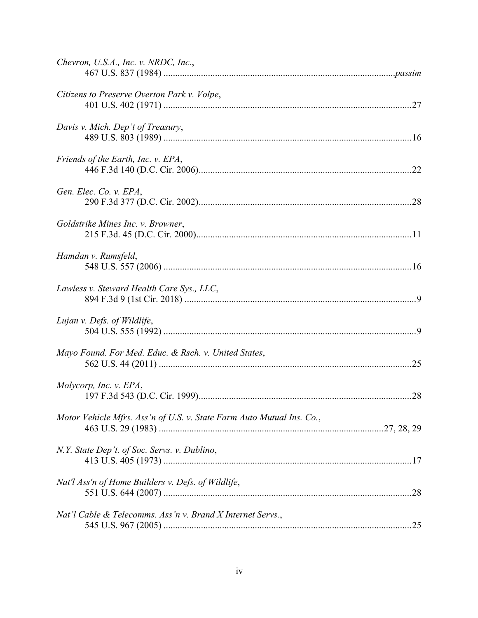| Chevron, U.S.A., Inc. v. NRDC, Inc.,                                  |  |
|-----------------------------------------------------------------------|--|
| Citizens to Preserve Overton Park v. Volpe,                           |  |
| Davis v. Mich. Dep't of Treasury,                                     |  |
| Friends of the Earth, Inc. v. EPA,                                    |  |
| Gen. Elec. Co. v. EPA,                                                |  |
| Goldstrike Mines Inc. v. Browner,                                     |  |
| Hamdan v. Rumsfeld,                                                   |  |
| Lawless v. Steward Health Care Sys., LLC,                             |  |
| Lujan v. Defs. of Wildlife,                                           |  |
| Mayo Found. For Med. Educ. & Rsch. v. United States,                  |  |
| Molycorp, Inc. v. EPA,                                                |  |
| Motor Vehicle Mfrs. Ass'n of U.S. v. State Farm Auto Mutual Ins. Co., |  |
| N.Y. State Dep't. of Soc. Servs. v. Dublino,                          |  |
| Nat'l Ass'n of Home Builders v. Defs. of Wildlife,                    |  |
| Nat'l Cable & Telecomms. Ass'n v. Brand X Internet Servs.,            |  |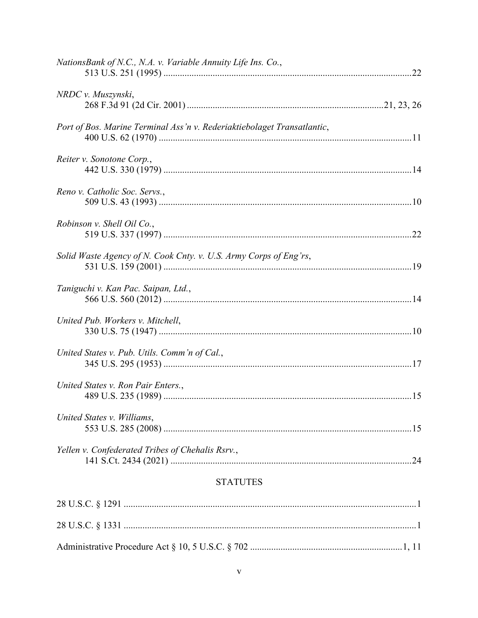| NationsBank of N.C., N.A. v. Variable Annuity Life Ins. Co.,            |  |
|-------------------------------------------------------------------------|--|
| NRDC v. Muszynski,                                                      |  |
| Port of Bos. Marine Terminal Ass'n v. Rederiaktiebolaget Transatlantic, |  |
| Reiter v. Sonotone Corp.,                                               |  |
| Reno v. Catholic Soc. Servs.,                                           |  |
| Robinson v. Shell Oil Co.,                                              |  |
| Solid Waste Agency of N. Cook Cnty. v. U.S. Army Corps of Eng'rs,       |  |
| Taniguchi v. Kan Pac. Saipan, Ltd.,                                     |  |
| United Pub. Workers v. Mitchell,                                        |  |
| United States v. Pub. Utils. Comm'n of Cal.,                            |  |
| United States v. Ron Pair Enters.,                                      |  |
| United States v. Williams,                                              |  |
| Yellen v. Confederated Tribes of Chehalis Rsrv.,                        |  |

# **STATUTES**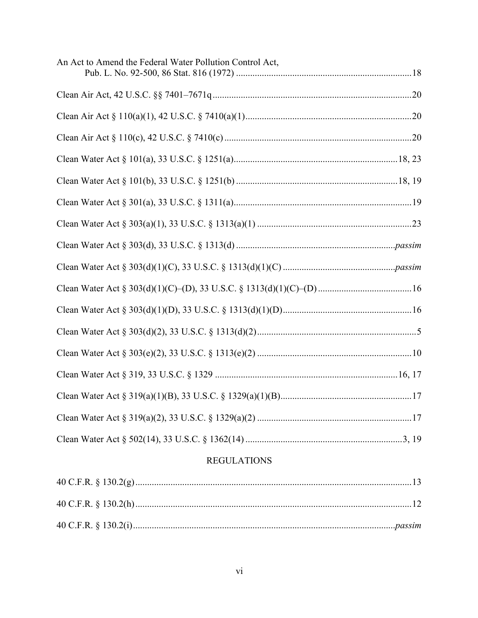| An Act to Amend the Federal Water Pollution Control Act, |  |
|----------------------------------------------------------|--|
|                                                          |  |
|                                                          |  |
|                                                          |  |
|                                                          |  |
|                                                          |  |
|                                                          |  |
|                                                          |  |
|                                                          |  |
|                                                          |  |
|                                                          |  |
|                                                          |  |
|                                                          |  |
|                                                          |  |
|                                                          |  |
|                                                          |  |
|                                                          |  |
|                                                          |  |
| <b>REGULATIONS</b>                                       |  |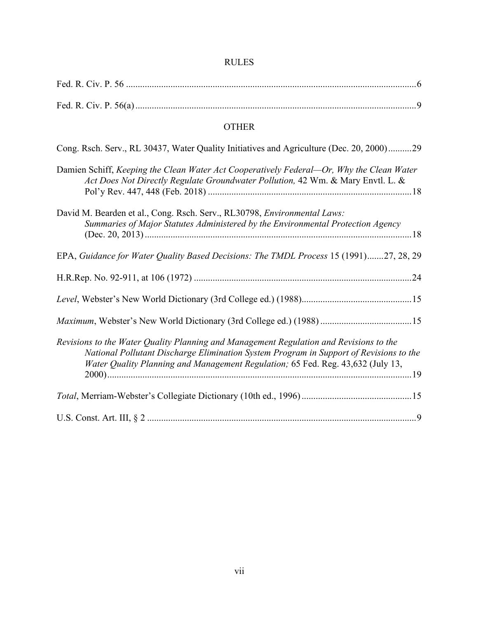| <b>OTHER</b>                                                                                                                                                                                                                                                        |
|---------------------------------------------------------------------------------------------------------------------------------------------------------------------------------------------------------------------------------------------------------------------|
| Cong. Rsch. Serv., RL 30437, Water Quality Initiatives and Agriculture (Dec. 20, 2000)29                                                                                                                                                                            |
| Damien Schiff, Keeping the Clean Water Act Cooperatively Federal-Or, Why the Clean Water<br>Act Does Not Directly Regulate Groundwater Pollution, 42 Wm. & Mary Envtl. L. &                                                                                         |
| David M. Bearden et al., Cong. Rsch. Serv., RL30798, Environmental Laws:<br>Summaries of Major Statutes Administered by the Environmental Protection Agency                                                                                                         |
| EPA, Guidance for Water Quality Based Decisions: The TMDL Process 15 (1991)27, 28, 29                                                                                                                                                                               |
|                                                                                                                                                                                                                                                                     |
|                                                                                                                                                                                                                                                                     |
|                                                                                                                                                                                                                                                                     |
| Revisions to the Water Quality Planning and Management Regulation and Revisions to the<br>National Pollutant Discharge Elimination System Program in Support of Revisions to the<br>Water Quality Planning and Management Regulation; 65 Fed. Reg. 43,632 (July 13, |
|                                                                                                                                                                                                                                                                     |
|                                                                                                                                                                                                                                                                     |

## RULES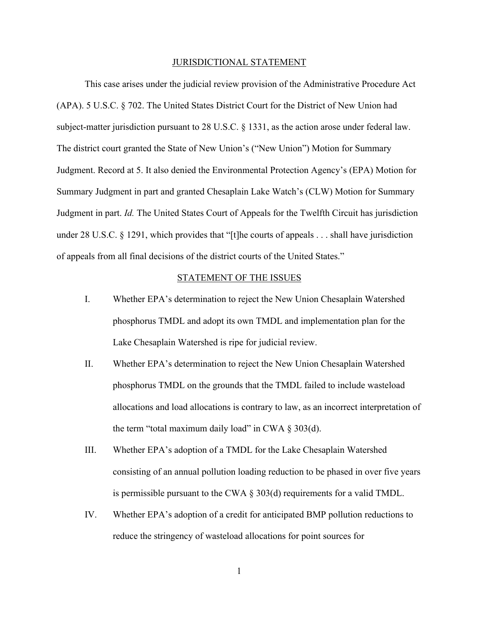#### JURISDICTIONAL STATEMENT

This case arises under the judicial review provision of the Administrative Procedure Act (APA). 5 U.S.C. § 702. The United States District Court for the District of New Union had subject-matter jurisdiction pursuant to 28 U.S.C. § 1331, as the action arose under federal law. The district court granted the State of New Union's ("New Union") Motion for Summary Judgment. Record at 5. It also denied the Environmental Protection Agency's (EPA) Motion for Summary Judgment in part and granted Chesaplain Lake Watch's (CLW) Motion for Summary Judgment in part. *Id.* The United States Court of Appeals for the Twelfth Circuit has jurisdiction under 28 U.S.C. § 1291, which provides that "[t]he courts of appeals . . . shall have jurisdiction of appeals from all final decisions of the district courts of the United States."

### STATEMENT OF THE ISSUES

- I. Whether EPA's determination to reject the New Union Chesaplain Watershed phosphorus TMDL and adopt its own TMDL and implementation plan for the Lake Chesaplain Watershed is ripe for judicial review.
- II. Whether EPA's determination to reject the New Union Chesaplain Watershed phosphorus TMDL on the grounds that the TMDL failed to include wasteload allocations and load allocations is contrary to law, as an incorrect interpretation of the term "total maximum daily load" in CWA  $\S 303(d)$ .
- III. Whether EPA's adoption of a TMDL for the Lake Chesaplain Watershed consisting of an annual pollution loading reduction to be phased in over five years is permissible pursuant to the CWA  $\S$  303(d) requirements for a valid TMDL.
- IV. Whether EPA's adoption of a credit for anticipated BMP pollution reductions to reduce the stringency of wasteload allocations for point sources for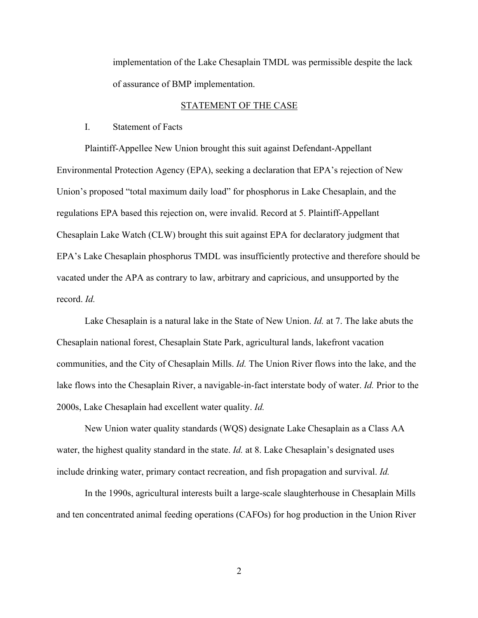implementation of the Lake Chesaplain TMDL was permissible despite the lack of assurance of BMP implementation.

#### STATEMENT OF THE CASE

I. Statement of Facts

Plaintiff-Appellee New Union brought this suit against Defendant-Appellant Environmental Protection Agency (EPA), seeking a declaration that EPA's rejection of New Union's proposed "total maximum daily load" for phosphorus in Lake Chesaplain, and the regulations EPA based this rejection on, were invalid. Record at 5. Plaintiff-Appellant Chesaplain Lake Watch (CLW) brought this suit against EPA for declaratory judgment that EPA's Lake Chesaplain phosphorus TMDL was insufficiently protective and therefore should be vacated under the APA as contrary to law, arbitrary and capricious, and unsupported by the record. *Id.*

Lake Chesaplain is a natural lake in the State of New Union. *Id.* at 7. The lake abuts the Chesaplain national forest, Chesaplain State Park, agricultural lands, lakefront vacation communities, and the City of Chesaplain Mills. *Id.* The Union River flows into the lake, and the lake flows into the Chesaplain River, a navigable-in-fact interstate body of water. *Id.* Prior to the 2000s, Lake Chesaplain had excellent water quality. *Id.*

New Union water quality standards (WQS) designate Lake Chesaplain as a Class AA water, the highest quality standard in the state. *Id.* at 8. Lake Chesaplain's designated uses include drinking water, primary contact recreation, and fish propagation and survival. *Id.*

In the 1990s, agricultural interests built a large-scale slaughterhouse in Chesaplain Mills and ten concentrated animal feeding operations (CAFOs) for hog production in the Union River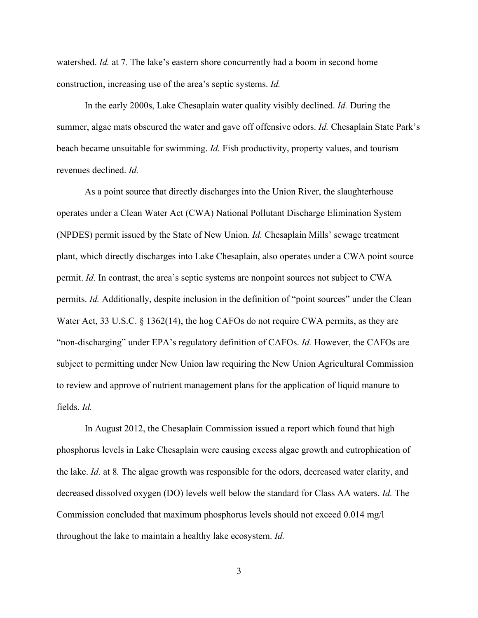watershed. *Id.* at 7*.* The lake's eastern shore concurrently had a boom in second home construction, increasing use of the area's septic systems. *Id.*

In the early 2000s, Lake Chesaplain water quality visibly declined. *Id.* During the summer, algae mats obscured the water and gave off offensive odors. *Id.* Chesaplain State Park's beach became unsuitable for swimming. *Id.* Fish productivity, property values, and tourism revenues declined. *Id.*

As a point source that directly discharges into the Union River, the slaughterhouse operates under a Clean Water Act (CWA) National Pollutant Discharge Elimination System (NPDES) permit issued by the State of New Union. *Id.* Chesaplain Mills' sewage treatment plant, which directly discharges into Lake Chesaplain, also operates under a CWA point source permit. *Id.* In contrast, the area's septic systems are nonpoint sources not subject to CWA permits. *Id.* Additionally, despite inclusion in the definition of "point sources" under the Clean Water Act, 33 U.S.C. § 1362(14), the hog CAFOs do not require CWA permits, as they are "non-discharging" under EPA's regulatory definition of CAFOs. *Id.* However, the CAFOs are subject to permitting under New Union law requiring the New Union Agricultural Commission to review and approve of nutrient management plans for the application of liquid manure to fields. *Id.*

In August 2012, the Chesaplain Commission issued a report which found that high phosphorus levels in Lake Chesaplain were causing excess algae growth and eutrophication of the lake. *Id.* at 8*.* The algae growth was responsible for the odors, decreased water clarity, and decreased dissolved oxygen (DO) levels well below the standard for Class AA waters. *Id.* The Commission concluded that maximum phosphorus levels should not exceed 0.014 mg/l throughout the lake to maintain a healthy lake ecosystem. *Id.*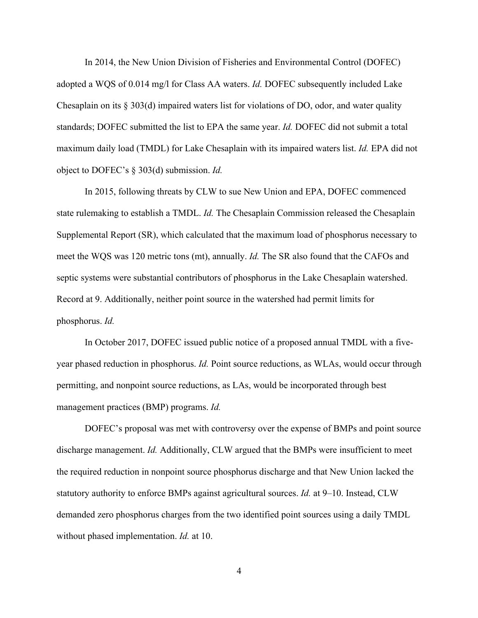In 2014, the New Union Division of Fisheries and Environmental Control (DOFEC) adopted a WQS of 0.014 mg/l for Class AA waters. *Id.* DOFEC subsequently included Lake Chesaplain on its  $\S 303(d)$  impaired waters list for violations of DO, odor, and water quality standards; DOFEC submitted the list to EPA the same year. *Id.* DOFEC did not submit a total maximum daily load (TMDL) for Lake Chesaplain with its impaired waters list. *Id.* EPA did not object to DOFEC's § 303(d) submission. *Id.*

In 2015, following threats by CLW to sue New Union and EPA, DOFEC commenced state rulemaking to establish a TMDL. *Id.* The Chesaplain Commission released the Chesaplain Supplemental Report (SR), which calculated that the maximum load of phosphorus necessary to meet the WQS was 120 metric tons (mt), annually. *Id.* The SR also found that the CAFOs and septic systems were substantial contributors of phosphorus in the Lake Chesaplain watershed. Record at 9. Additionally, neither point source in the watershed had permit limits for phosphorus. *Id.*

In October 2017, DOFEC issued public notice of a proposed annual TMDL with a fiveyear phased reduction in phosphorus. *Id.* Point source reductions, as WLAs, would occur through permitting, and nonpoint source reductions, as LAs, would be incorporated through best management practices (BMP) programs. *Id.*

DOFEC's proposal was met with controversy over the expense of BMPs and point source discharge management. *Id.* Additionally, CLW argued that the BMPs were insufficient to meet the required reduction in nonpoint source phosphorus discharge and that New Union lacked the statutory authority to enforce BMPs against agricultural sources. *Id.* at 9–10. Instead, CLW demanded zero phosphorus charges from the two identified point sources using a daily TMDL without phased implementation. *Id.* at 10.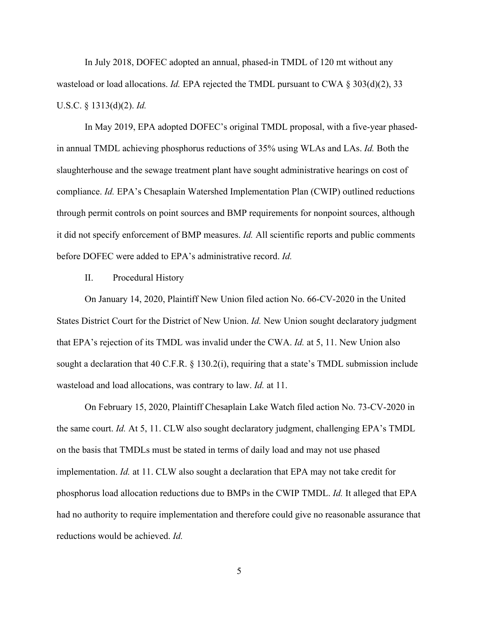In July 2018, DOFEC adopted an annual, phased-in TMDL of 120 mt without any wasteload or load allocations. *Id.* EPA rejected the TMDL pursuant to CWA § 303(d)(2), 33 U.S.C. § 1313(d)(2). *Id.*

In May 2019, EPA adopted DOFEC's original TMDL proposal, with a five-year phasedin annual TMDL achieving phosphorus reductions of 35% using WLAs and LAs. *Id.* Both the slaughterhouse and the sewage treatment plant have sought administrative hearings on cost of compliance. *Id.* EPA's Chesaplain Watershed Implementation Plan (CWIP) outlined reductions through permit controls on point sources and BMP requirements for nonpoint sources, although it did not specify enforcement of BMP measures. *Id.* All scientific reports and public comments before DOFEC were added to EPA's administrative record. *Id.*

#### II. Procedural History

On January 14, 2020, Plaintiff New Union filed action No. 66-CV-2020 in the United States District Court for the District of New Union. *Id.* New Union sought declaratory judgment that EPA's rejection of its TMDL was invalid under the CWA. *Id.* at 5, 11. New Union also sought a declaration that 40 C.F.R. § 130.2(i), requiring that a state's TMDL submission include wasteload and load allocations, was contrary to law. *Id.* at 11.

On February 15, 2020, Plaintiff Chesaplain Lake Watch filed action No. 73-CV-2020 in the same court. *Id.* At 5, 11. CLW also sought declaratory judgment, challenging EPA's TMDL on the basis that TMDLs must be stated in terms of daily load and may not use phased implementation. *Id.* at 11. CLW also sought a declaration that EPA may not take credit for phosphorus load allocation reductions due to BMPs in the CWIP TMDL. *Id.* It alleged that EPA had no authority to require implementation and therefore could give no reasonable assurance that reductions would be achieved. *Id.*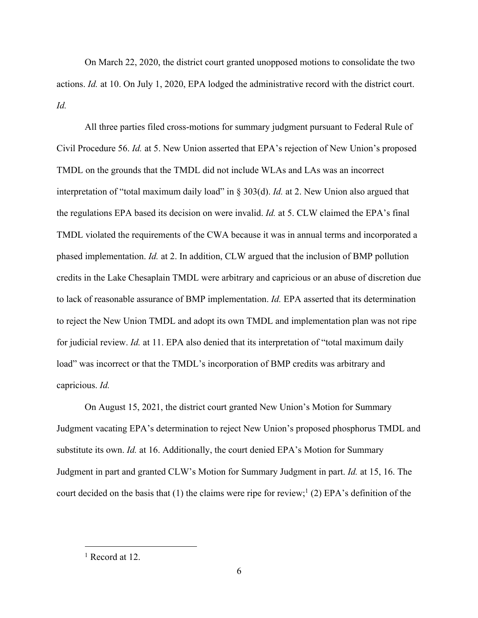On March 22, 2020, the district court granted unopposed motions to consolidate the two actions. *Id.* at 10. On July 1, 2020, EPA lodged the administrative record with the district court. *Id.*

All three parties filed cross-motions for summary judgment pursuant to Federal Rule of Civil Procedure 56. *Id.* at 5. New Union asserted that EPA's rejection of New Union's proposed TMDL on the grounds that the TMDL did not include WLAs and LAs was an incorrect interpretation of "total maximum daily load" in § 303(d). *Id.* at 2. New Union also argued that the regulations EPA based its decision on were invalid. *Id.* at 5. CLW claimed the EPA's final TMDL violated the requirements of the CWA because it was in annual terms and incorporated a phased implementation. *Id.* at 2. In addition, CLW argued that the inclusion of BMP pollution credits in the Lake Chesaplain TMDL were arbitrary and capricious or an abuse of discretion due to lack of reasonable assurance of BMP implementation. *Id.* EPA asserted that its determination to reject the New Union TMDL and adopt its own TMDL and implementation plan was not ripe for judicial review. *Id.* at 11. EPA also denied that its interpretation of "total maximum daily load" was incorrect or that the TMDL's incorporation of BMP credits was arbitrary and capricious. *Id.*

On August 15, 2021, the district court granted New Union's Motion for Summary Judgment vacating EPA's determination to reject New Union's proposed phosphorus TMDL and substitute its own. *Id.* at 16. Additionally, the court denied EPA's Motion for Summary Judgment in part and granted CLW's Motion for Summary Judgment in part. *Id.* at 15, 16. The court decided on the basis that  $(1)$  the claims were ripe for review;<sup>1</sup>  $(2)$  EPA's definition of the

<sup>&</sup>lt;sup>1</sup> Record at 12.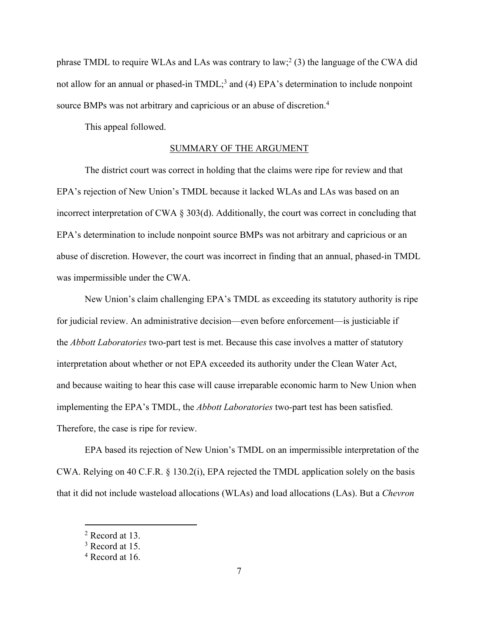phrase TMDL to require WLAs and LAs was contrary to law;<sup>2</sup> (3) the language of the CWA did not allow for an annual or phased-in TMDL;<sup>3</sup> and (4) EPA's determination to include nonpoint source BMPs was not arbitrary and capricious or an abuse of discretion.4

This appeal followed.

### SUMMARY OF THE ARGUMENT

The district court was correct in holding that the claims were ripe for review and that EPA's rejection of New Union's TMDL because it lacked WLAs and LAs was based on an incorrect interpretation of CWA § 303(d). Additionally, the court was correct in concluding that EPA's determination to include nonpoint source BMPs was not arbitrary and capricious or an abuse of discretion. However, the court was incorrect in finding that an annual, phased-in TMDL was impermissible under the CWA.

New Union's claim challenging EPA's TMDL as exceeding its statutory authority is ripe for judicial review. An administrative decision—even before enforcement—is justiciable if the *Abbott Laboratories* two-part test is met. Because this case involves a matter of statutory interpretation about whether or not EPA exceeded its authority under the Clean Water Act, and because waiting to hear this case will cause irreparable economic harm to New Union when implementing the EPA's TMDL, the *Abbott Laboratories* two-part test has been satisfied. Therefore, the case is ripe for review.

EPA based its rejection of New Union's TMDL on an impermissible interpretation of the CWA. Relying on 40 C.F.R. § 130.2(i), EPA rejected the TMDL application solely on the basis that it did not include wasteload allocations (WLAs) and load allocations (LAs). But a *Chevron* 

<sup>2</sup> Record at 13.

<sup>3</sup> Record at 15.

<sup>4</sup> Record at 16.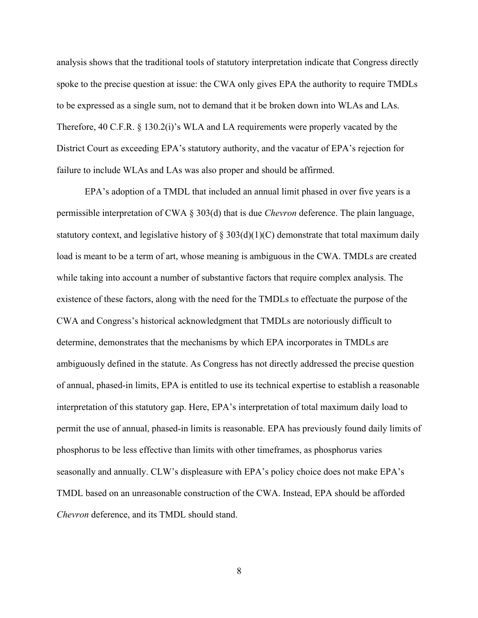analysis shows that the traditional tools of statutory interpretation indicate that Congress directly spoke to the precise question at issue: the CWA only gives EPA the authority to require TMDLs to be expressed as a single sum, not to demand that it be broken down into WLAs and LAs. Therefore, 40 C.F.R. § 130.2(i)'s WLA and LA requirements were properly vacated by the District Court as exceeding EPA's statutory authority, and the vacatur of EPA's rejection for failure to include WLAs and LAs was also proper and should be affirmed.

EPA's adoption of a TMDL that included an annual limit phased in over five years is a permissible interpretation of CWA § 303(d) that is due *Chevron* deference. The plain language, statutory context, and legislative history of  $\S 303(d)(1)(C)$  demonstrate that total maximum daily load is meant to be a term of art, whose meaning is ambiguous in the CWA. TMDLs are created while taking into account a number of substantive factors that require complex analysis. The existence of these factors, along with the need for the TMDLs to effectuate the purpose of the CWA and Congress's historical acknowledgment that TMDLs are notoriously difficult to determine, demonstrates that the mechanisms by which EPA incorporates in TMDLs are ambiguously defined in the statute. As Congress has not directly addressed the precise question of annual, phased-in limits, EPA is entitled to use its technical expertise to establish a reasonable interpretation of this statutory gap. Here, EPA's interpretation of total maximum daily load to permit the use of annual, phased-in limits is reasonable. EPA has previously found daily limits of phosphorus to be less effective than limits with other timeframes, as phosphorus varies seasonally and annually. CLW's displeasure with EPA's policy choice does not make EPA's TMDL based on an unreasonable construction of the CWA. Instead, EPA should be afforded *Chevron* deference, and its TMDL should stand.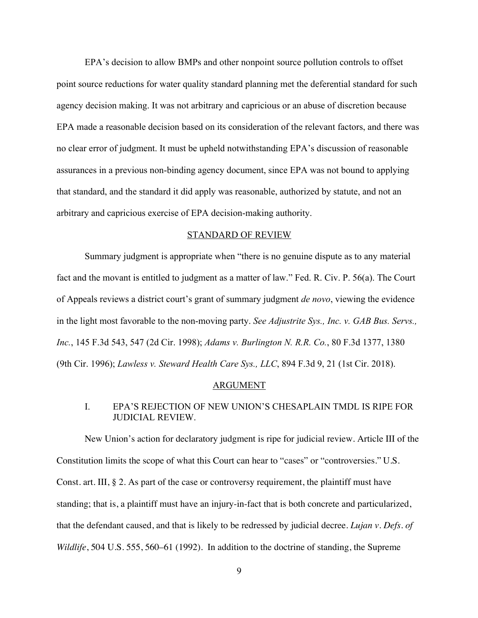EPA's decision to allow BMPs and other nonpoint source pollution controls to offset point source reductions for water quality standard planning met the deferential standard for such agency decision making. It was not arbitrary and capricious or an abuse of discretion because EPA made a reasonable decision based on its consideration of the relevant factors, and there was no clear error of judgment. It must be upheld notwithstanding EPA's discussion of reasonable assurances in a previous non-binding agency document, since EPA was not bound to applying that standard, and the standard it did apply was reasonable, authorized by statute, and not an arbitrary and capricious exercise of EPA decision-making authority.

#### STANDARD OF REVIEW

Summary judgment is appropriate when "there is no genuine dispute as to any material fact and the movant is entitled to judgment as a matter of law." Fed. R. Civ. P. 56(a). The Court of Appeals reviews a district court's grant of summary judgment *de novo*, viewing the evidence in the light most favorable to the non-moving party. *See Adjustrite Sys., Inc. v. GAB Bus. Servs., Inc.*, 145 F.3d 543, 547 (2d Cir. 1998); *Adams v. Burlington N. R.R. Co.*, 80 F.3d 1377, 1380 (9th Cir. 1996); *Lawless v. Steward Health Care Sys., LLC*, 894 F.3d 9, 21 (1st Cir. 2018).

### ARGUMENT

### I. EPA'S REJECTION OF NEW UNION'S CHESAPLAIN TMDL IS RIPE FOR JUDICIAL REVIEW.

New Union's action for declaratory judgment is ripe for judicial review. Article III of the Constitution limits the scope of what this Court can hear to "cases" or "controversies." U.S. Const. art. III, § 2. As part of the case or controversy requirement, the plaintiff must have standing; that is, a plaintiff must have an injury-in-fact that is both concrete and particularized, that the defendant caused, and that is likely to be redressed by judicial decree. *Lujan v. Defs. of Wildlife*, 504 U.S. 555, 560–61 (1992). In addition to the doctrine of standing, the Supreme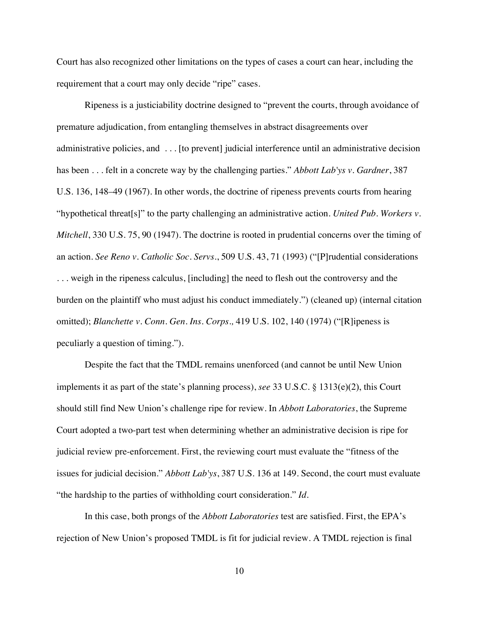Court has also recognized other limitations on the types of cases a court can hear, including the requirement that a court may only decide "ripe" cases.

Ripeness is a justiciability doctrine designed to "prevent the courts, through avoidance of premature adjudication, from entangling themselves in abstract disagreements over administrative policies, and . . . [to prevent] judicial interference until an administrative decision has been . . . felt in a concrete way by the challenging parties." *Abbott Lab'ys v. Gardner*, 387 U.S. 136, 148–49 (1967). In other words, the doctrine of ripeness prevents courts from hearing "hypothetical threat[s]" to the party challenging an administrative action. *United Pub. Workers v. Mitchell*, 330 U.S. 75, 90 (1947). The doctrine is rooted in prudential concerns over the timing of an action. *See Reno v. Catholic Soc. Servs.*, 509 U.S. 43, 71 (1993) ("[P]rudential considerations . . . weigh in the ripeness calculus, [including] the need to flesh out the controversy and the burden on the plaintiff who must adjust his conduct immediately.") (cleaned up) (internal citation omitted); *Blanchette v. Conn. Gen. Ins. Corps.,* 419 U.S. 102, 140 (1974) ("[R]ipeness is peculiarly a question of timing.").

Despite the fact that the TMDL remains unenforced (and cannot be until New Union implements it as part of the state's planning process), *see* 33 U.S.C. § 1313(e)(2), this Court should still find New Union's challenge ripe for review. In *Abbott Laboratories*, the Supreme Court adopted a two-part test when determining whether an administrative decision is ripe for judicial review pre-enforcement. First, the reviewing court must evaluate the "fitness of the issues for judicial decision." *Abbott Lab'ys*, 387 U.S. 136 at 149. Second, the court must evaluate "the hardship to the parties of withholding court consideration." *Id.* 

In this case, both prongs of the *Abbott Laboratories* test are satisfied. First, the EPA's rejection of New Union's proposed TMDL is fit for judicial review. A TMDL rejection is final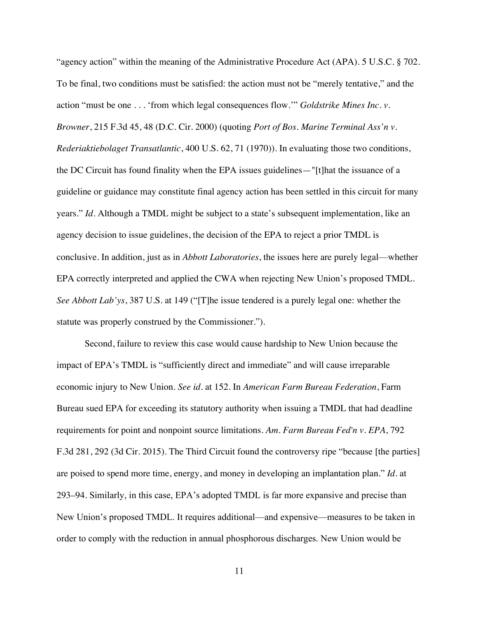"agency action" within the meaning of the Administrative Procedure Act (APA). 5 U.S.C. § 702. To be final, two conditions must be satisfied: the action must not be "merely tentative," and the action "must be one . . . 'from which legal consequences flow.'" *Goldstrike Mines Inc. v. Browner*, 215 F.3d 45, 48 (D.C. Cir. 2000) (quoting *Port of Bos. Marine Terminal Ass'n v. Rederiaktiebolaget Transatlantic*, 400 U.S. 62, 71 (1970)). In evaluating those two conditions, the DC Circuit has found finality when the EPA issues guidelines—"[t]hat the issuance of a guideline or guidance may constitute final agency action has been settled in this circuit for many years." *Id*. Although a TMDL might be subject to a state's subsequent implementation, like an agency decision to issue guidelines, the decision of the EPA to reject a prior TMDL is conclusive. In addition, just as in *Abbott Laboratories*, the issues here are purely legal—whether EPA correctly interpreted and applied the CWA when rejecting New Union's proposed TMDL. *See Abbott Lab'ys*, 387 U.S. at 149 ("[T]he issue tendered is a purely legal one: whether the statute was properly construed by the Commissioner.").

Second, failure to review this case would cause hardship to New Union because the impact of EPA's TMDL is "sufficiently direct and immediate" and will cause irreparable economic injury to New Union. *See id.* at 152. In *American Farm Bureau Federation*, Farm Bureau sued EPA for exceeding its statutory authority when issuing a TMDL that had deadline requirements for point and nonpoint source limitations. *Am. Farm Bureau Fed'n v. EPA*, 792 F.3d 281, 292 (3d Cir. 2015). The Third Circuit found the controversy ripe "because [the parties] are poised to spend more time, energy, and money in developing an implantation plan." *Id.* at 293–94. Similarly, in this case, EPA's adopted TMDL is far more expansive and precise than New Union's proposed TMDL. It requires additional—and expensive—measures to be taken in order to comply with the reduction in annual phosphorous discharges. New Union would be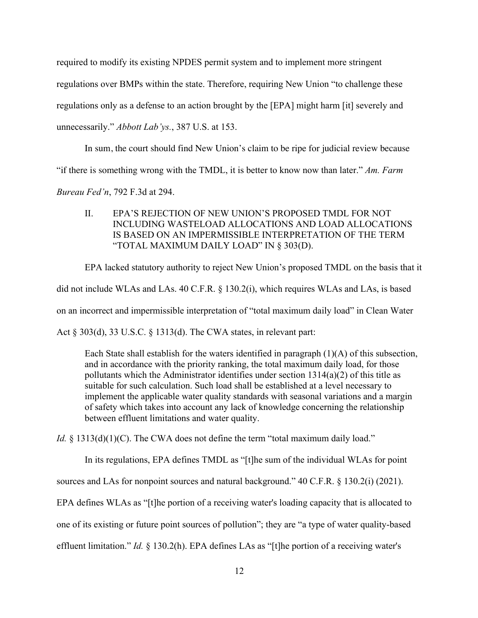required to modify its existing NPDES permit system and to implement more stringent

regulations over BMPs within the state. Therefore, requiring New Union "to challenge these

regulations only as a defense to an action brought by the [EPA] might harm [it] severely and

unnecessarily." *Abbott Lab'ys.*, 387 U.S. at 153.

In sum, the court should find New Union's claim to be ripe for judicial review because

"if there is something wrong with the TMDL, it is better to know now than later." *Am. Farm* 

*Bureau Fed'n*, 792 F.3d at 294.

II. EPA'S REJECTION OF NEW UNION'S PROPOSED TMDL FOR NOT INCLUDING WASTELOAD ALLOCATIONS AND LOAD ALLOCATIONS IS BASED ON AN IMPERMISSIBLE INTERPRETATION OF THE TERM "TOTAL MAXIMUM DAILY LOAD" IN § 303(D).

EPA lacked statutory authority to reject New Union's proposed TMDL on the basis that it did not include WLAs and LAs. 40 C.F.R. § 130.2(i), which requires WLAs and LAs, is based on an incorrect and impermissible interpretation of "total maximum daily load" in Clean Water Act § 303(d), 33 U.S.C. § 1313(d). The CWA states, in relevant part:

Each State shall establish for the waters identified in paragraph  $(1)(A)$  of this subsection, and in accordance with the priority ranking, the total maximum daily load, for those pollutants which the Administrator identifies under section 1314(a)(2) of this title as suitable for such calculation. Such load shall be established at a level necessary to implement the applicable water quality standards with seasonal variations and a margin of safety which takes into account any lack of knowledge concerning the relationship between effluent limitations and water quality.

*Id.* § 1313(d)(1)(C). The CWA does not define the term "total maximum daily load."

In its regulations, EPA defines TMDL as "[t]he sum of the individual WLAs for point

sources and LAs for nonpoint sources and natural background." 40 C.F.R. § 130.2(i) (2021).

EPA defines WLAs as "[t]he portion of a receiving water's loading capacity that is allocated to

one of its existing or future point sources of pollution"; they are "a type of water quality-based

effluent limitation." *Id.* § 130.2(h). EPA defines LAs as "[t]he portion of a receiving water's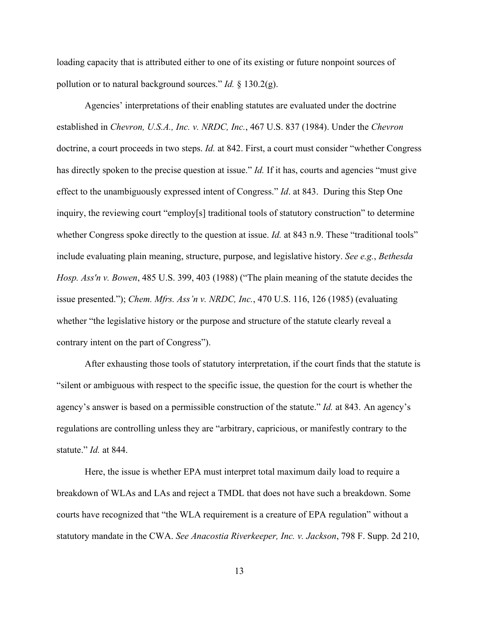loading capacity that is attributed either to one of its existing or future nonpoint sources of pollution or to natural background sources." *Id.* § 130.2(g).

Agencies' interpretations of their enabling statutes are evaluated under the doctrine established in *Chevron, U.S.A., Inc. v. NRDC, Inc.*, 467 U.S. 837 (1984). Under the *Chevron*  doctrine, a court proceeds in two steps. *Id.* at 842. First, a court must consider "whether Congress has directly spoken to the precise question at issue." *Id.* If it has, courts and agencies "must give effect to the unambiguously expressed intent of Congress." *Id*. at 843. During this Step One inquiry, the reviewing court "employ[s] traditional tools of statutory construction" to determine whether Congress spoke directly to the question at issue. *Id.* at 843 n.9. These "traditional tools" include evaluating plain meaning, structure, purpose, and legislative history. *See e.g.*, *Bethesda Hosp. Ass'n v. Bowen*, 485 U.S. 399, 403 (1988) ("The plain meaning of the statute decides the issue presented."); *Chem. Mfrs. Ass'n v. NRDC, Inc.*, 470 U.S. 116, 126 (1985) (evaluating whether "the legislative history or the purpose and structure of the statute clearly reveal a contrary intent on the part of Congress").

After exhausting those tools of statutory interpretation, if the court finds that the statute is "silent or ambiguous with respect to the specific issue, the question for the court is whether the agency's answer is based on a permissible construction of the statute." *Id.* at 843. An agency's regulations are controlling unless they are "arbitrary, capricious, or manifestly contrary to the statute." *Id.* at 844.

Here, the issue is whether EPA must interpret total maximum daily load to require a breakdown of WLAs and LAs and reject a TMDL that does not have such a breakdown. Some courts have recognized that "the WLA requirement is a creature of EPA regulation" without a statutory mandate in the CWA. *See Anacostia Riverkeeper, Inc. v. Jackson*, 798 F. Supp. 2d 210,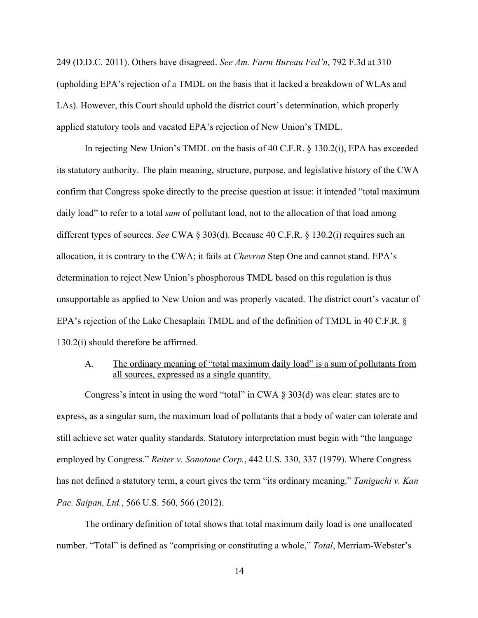249 (D.D.C. 2011). Others have disagreed. *See Am. Farm Bureau Fed'n*, 792 F.3d at 310 (upholding EPA's rejection of a TMDL on the basis that it lacked a breakdown of WLAs and LAs). However, this Court should uphold the district court's determination, which properly applied statutory tools and vacated EPA's rejection of New Union's TMDL.

In rejecting New Union's TMDL on the basis of 40 C.F.R. § 130.2(i), EPA has exceeded its statutory authority. The plain meaning, structure, purpose, and legislative history of the CWA confirm that Congress spoke directly to the precise question at issue: it intended "total maximum daily load" to refer to a total *sum* of pollutant load, not to the allocation of that load among different types of sources. *See* CWA § 303(d). Because 40 C.F.R. § 130.2(i) requires such an allocation, it is contrary to the CWA; it fails at *Chevron* Step One and cannot stand. EPA's determination to reject New Union's phosphorous TMDL based on this regulation is thus unsupportable as applied to New Union and was properly vacated. The district court's vacatur of EPA's rejection of the Lake Chesaplain TMDL and of the definition of TMDL in 40 C.F.R. § 130.2(i) should therefore be affirmed.

## A. The ordinary meaning of "total maximum daily load" is a sum of pollutants from all sources, expressed as a single quantity.

Congress's intent in using the word "total" in CWA § 303(d) was clear: states are to express, as a singular sum, the maximum load of pollutants that a body of water can tolerate and still achieve set water quality standards. Statutory interpretation must begin with "the language employed by Congress." *Reiter v. Sonotone Corp.*, 442 U.S. 330, 337 (1979). Where Congress has not defined a statutory term, a court gives the term "its ordinary meaning." *Taniguchi v. Kan Pac. Saipan, Ltd.*, 566 U.S. 560, 566 (2012).

The ordinary definition of total shows that total maximum daily load is one unallocated number. "Total" is defined as "comprising or constituting a whole," *Total*, Merriam-Webster's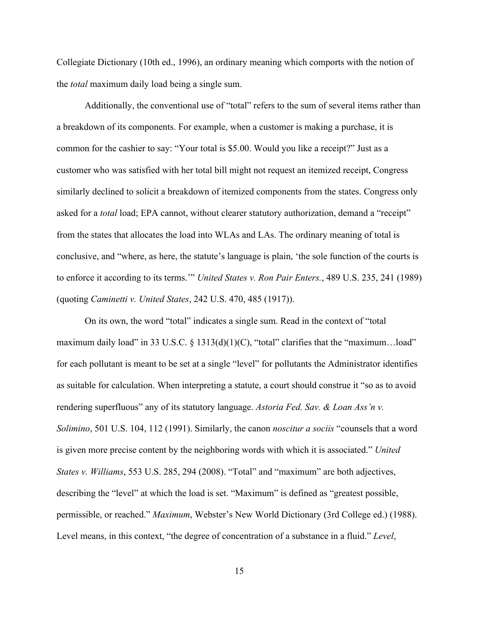Collegiate Dictionary (10th ed., 1996), an ordinary meaning which comports with the notion of the *total* maximum daily load being a single sum.

Additionally, the conventional use of "total" refers to the sum of several items rather than a breakdown of its components. For example, when a customer is making a purchase, it is common for the cashier to say: "Your total is \$5.00. Would you like a receipt?" Just as a customer who was satisfied with her total bill might not request an itemized receipt, Congress similarly declined to solicit a breakdown of itemized components from the states. Congress only asked for a *total* load; EPA cannot, without clearer statutory authorization, demand a "receipt" from the states that allocates the load into WLAs and LAs. The ordinary meaning of total is conclusive, and "where, as here, the statute's language is plain, 'the sole function of the courts is to enforce it according to its terms.'" *United States v. Ron Pair Enters.*, 489 U.S. 235, 241 (1989) (quoting *Caminetti v. United States*, 242 U.S. 470, 485 (1917)).

On its own, the word "total" indicates a single sum. Read in the context of "total maximum daily load" in 33 U.S.C.  $\S$  1313(d)(1)(C), "total" clarifies that the "maximum...load" for each pollutant is meant to be set at a single "level" for pollutants the Administrator identifies as suitable for calculation. When interpreting a statute, a court should construe it "so as to avoid rendering superfluous" any of its statutory language. *Astoria Fed. Sav. & Loan Ass'n v. Solimino*, 501 U.S. 104, 112 (1991). Similarly, the canon *noscitur a sociis* "counsels that a word is given more precise content by the neighboring words with which it is associated." *United States v. Williams*, 553 U.S. 285, 294 (2008). "Total" and "maximum" are both adjectives, describing the "level" at which the load is set. "Maximum" is defined as "greatest possible, permissible, or reached." *Maximum*, Webster's New World Dictionary (3rd College ed.) (1988). Level means, in this context, "the degree of concentration of a substance in a fluid." *Level*,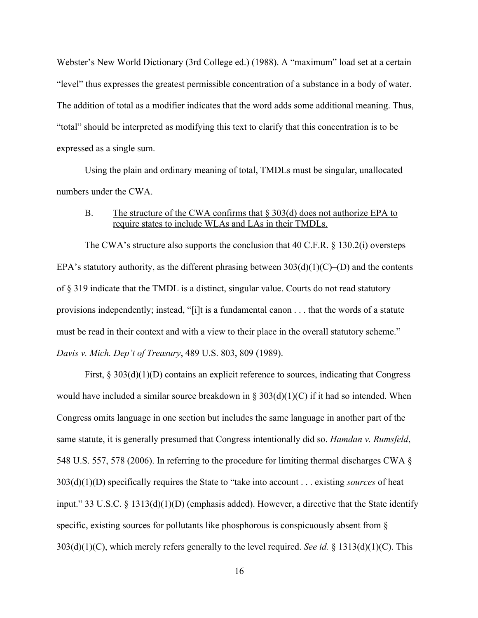Webster's New World Dictionary (3rd College ed.) (1988). A "maximum" load set at a certain "level" thus expresses the greatest permissible concentration of a substance in a body of water. The addition of total as a modifier indicates that the word adds some additional meaning. Thus, "total" should be interpreted as modifying this text to clarify that this concentration is to be expressed as a single sum.

Using the plain and ordinary meaning of total, TMDLs must be singular, unallocated numbers under the CWA.

### B. The structure of the CWA confirms that § 303(d) does not authorize EPA to require states to include WLAs and LAs in their TMDLs.

The CWA's structure also supports the conclusion that  $40$  C.F.R. § 130.2(i) oversteps EPA's statutory authority, as the different phrasing between  $303(d)(1)(C)$ –(D) and the contents of § 319 indicate that the TMDL is a distinct, singular value. Courts do not read statutory provisions independently; instead, "[i]t is a fundamental canon . . . that the words of a statute must be read in their context and with a view to their place in the overall statutory scheme." *Davis v. Mich. Dep't of Treasury*, 489 U.S. 803, 809 (1989).

First,  $\S 303(d)(1)(D)$  contains an explicit reference to sources, indicating that Congress would have included a similar source breakdown in § 303(d)(1)(C) if it had so intended. When Congress omits language in one section but includes the same language in another part of the same statute, it is generally presumed that Congress intentionally did so. *Hamdan v. Rumsfeld*, 548 U.S. 557, 578 (2006). In referring to the procedure for limiting thermal discharges CWA § 303(d)(1)(D) specifically requires the State to "take into account . . . existing *sources* of heat input." 33 U.S.C. § 1313(d)(1)(D) (emphasis added). However, a directive that the State identify specific, existing sources for pollutants like phosphorous is conspicuously absent from § 303(d)(1)(C), which merely refers generally to the level required. *See id.* § 1313(d)(1)(C). This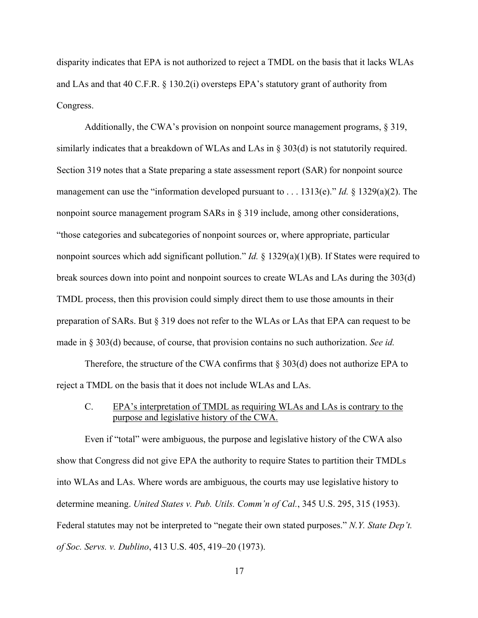disparity indicates that EPA is not authorized to reject a TMDL on the basis that it lacks WLAs and LAs and that 40 C.F.R. § 130.2(i) oversteps EPA's statutory grant of authority from Congress.

Additionally, the CWA's provision on nonpoint source management programs, § 319, similarly indicates that a breakdown of WLAs and LAs in § 303(d) is not statutorily required. Section 319 notes that a State preparing a state assessment report (SAR) for nonpoint source management can use the "information developed pursuant to . . . 1313(e)." *Id.* § 1329(a)(2). The nonpoint source management program SARs in § 319 include, among other considerations, "those categories and subcategories of nonpoint sources or, where appropriate, particular nonpoint sources which add significant pollution." *Id.* § 1329(a)(1)(B). If States were required to break sources down into point and nonpoint sources to create WLAs and LAs during the 303(d) TMDL process, then this provision could simply direct them to use those amounts in their preparation of SARs. But § 319 does not refer to the WLAs or LAs that EPA can request to be made in § 303(d) because, of course, that provision contains no such authorization. *See id.* 

Therefore, the structure of the CWA confirms that  $\S 303(d)$  does not authorize EPA to reject a TMDL on the basis that it does not include WLAs and LAs.

### C. EPA's interpretation of TMDL as requiring WLAs and LAs is contrary to the purpose and legislative history of the CWA.

Even if "total" were ambiguous, the purpose and legislative history of the CWA also show that Congress did not give EPA the authority to require States to partition their TMDLs into WLAs and LAs. Where words are ambiguous, the courts may use legislative history to determine meaning. *United States v. Pub. Utils. Comm'n of Cal.*, 345 U.S. 295, 315 (1953). Federal statutes may not be interpreted to "negate their own stated purposes." *N.Y. State Dep't. of Soc. Servs. v. Dublino*, 413 U.S. 405, 419–20 (1973).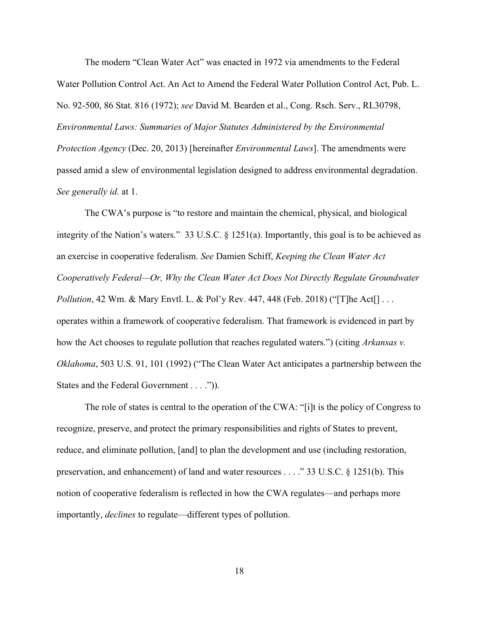The modern "Clean Water Act" was enacted in 1972 via amendments to the Federal Water Pollution Control Act. An Act to Amend the Federal Water Pollution Control Act, Pub. L. No. 92-500, 86 Stat. 816 (1972); *see* David M. Bearden et al., Cong. Rsch. Serv., RL30798, *Environmental Laws: Summaries of Major Statutes Administered by the Environmental Protection Agency* (Dec. 20, 2013) [hereinafter *Environmental Laws*]. The amendments were passed amid a slew of environmental legislation designed to address environmental degradation. *See generally id.* at 1.

The CWA's purpose is "to restore and maintain the chemical, physical, and biological integrity of the Nation's waters." 33 U.S.C. § 1251(a). Importantly, this goal is to be achieved as an exercise in cooperative federalism. *See* Damien Schiff, *Keeping the Clean Water Act Cooperatively Federal—Or, Why the Clean Water Act Does Not Directly Regulate Groundwater Pollution*, 42 Wm. & Mary Envtl. L. & Pol'y Rev. 447, 448 (Feb. 2018) ("[T]he Act[] . . . operates within a framework of cooperative federalism. That framework is evidenced in part by how the Act chooses to regulate pollution that reaches regulated waters.") (citing *Arkansas v. Oklahoma*, 503 U.S. 91, 101 (1992) ("The Clean Water Act anticipates a partnership between the States and the Federal Government . . . .")).

The role of states is central to the operation of the CWA: "[i]t is the policy of Congress to recognize, preserve, and protect the primary responsibilities and rights of States to prevent, reduce, and eliminate pollution, [and] to plan the development and use (including restoration, preservation, and enhancement) of land and water resources . . . ." 33 U.S.C. § 1251(b). This notion of cooperative federalism is reflected in how the CWA regulates—and perhaps more importantly, *declines* to regulate—different types of pollution.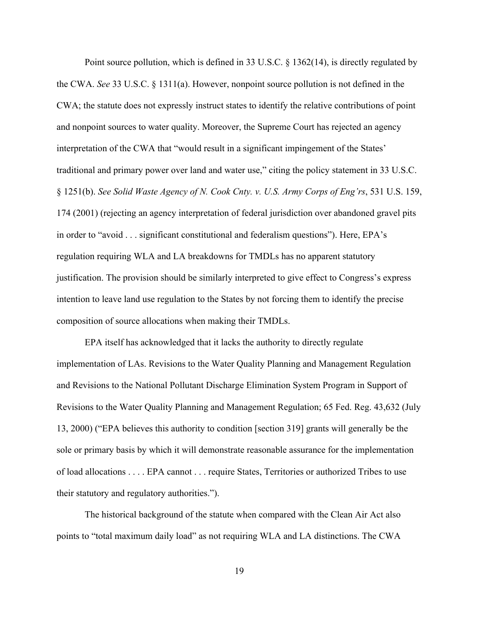Point source pollution, which is defined in 33 U.S.C. § 1362(14), is directly regulated by the CWA. *See* 33 U.S.C. § 1311(a). However, nonpoint source pollution is not defined in the CWA; the statute does not expressly instruct states to identify the relative contributions of point and nonpoint sources to water quality. Moreover, the Supreme Court has rejected an agency interpretation of the CWA that "would result in a significant impingement of the States' traditional and primary power over land and water use," citing the policy statement in 33 U.S.C. § 1251(b). *See Solid Waste Agency of N. Cook Cnty. v. U.S. Army Corps of Eng'rs*, 531 U.S. 159, 174 (2001) (rejecting an agency interpretation of federal jurisdiction over abandoned gravel pits in order to "avoid . . . significant constitutional and federalism questions"). Here, EPA's regulation requiring WLA and LA breakdowns for TMDLs has no apparent statutory justification. The provision should be similarly interpreted to give effect to Congress's express intention to leave land use regulation to the States by not forcing them to identify the precise composition of source allocations when making their TMDLs.

EPA itself has acknowledged that it lacks the authority to directly regulate implementation of LAs. Revisions to the Water Quality Planning and Management Regulation and Revisions to the National Pollutant Discharge Elimination System Program in Support of Revisions to the Water Quality Planning and Management Regulation; 65 Fed. Reg. 43,632 (July 13, 2000) ("EPA believes this authority to condition [section 319] grants will generally be the sole or primary basis by which it will demonstrate reasonable assurance for the implementation of load allocations . . . . EPA cannot . . . require States, Territories or authorized Tribes to use their statutory and regulatory authorities.").

The historical background of the statute when compared with the Clean Air Act also points to "total maximum daily load" as not requiring WLA and LA distinctions. The CWA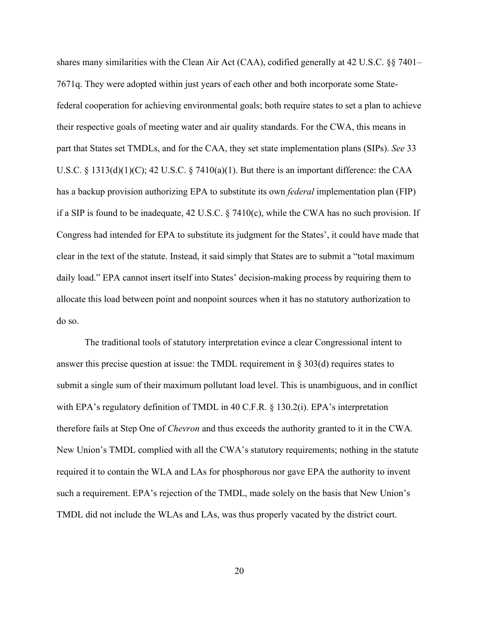shares many similarities with the Clean Air Act (CAA), codified generally at 42 U.S.C. §§ 7401– 7671q. They were adopted within just years of each other and both incorporate some Statefederal cooperation for achieving environmental goals; both require states to set a plan to achieve their respective goals of meeting water and air quality standards. For the CWA, this means in part that States set TMDLs, and for the CAA, they set state implementation plans (SIPs). *See* 33 U.S.C.  $\S$  1313(d)(1)(C); 42 U.S.C.  $\S$  7410(a)(1). But there is an important difference: the CAA has a backup provision authorizing EPA to substitute its own *federal* implementation plan (FIP) if a SIP is found to be inadequate, 42 U.S.C. § 7410(c), while the CWA has no such provision. If Congress had intended for EPA to substitute its judgment for the States', it could have made that clear in the text of the statute. Instead, it said simply that States are to submit a "total maximum daily load." EPA cannot insert itself into States' decision-making process by requiring them to allocate this load between point and nonpoint sources when it has no statutory authorization to do so.

The traditional tools of statutory interpretation evince a clear Congressional intent to answer this precise question at issue: the TMDL requirement in § 303(d) requires states to submit a single sum of their maximum pollutant load level. This is unambiguous, and in conflict with EPA's regulatory definition of TMDL in 40 C.F.R. § 130.2(i). EPA's interpretation therefore fails at Step One of *Chevron* and thus exceeds the authority granted to it in the CWA*.* New Union's TMDL complied with all the CWA's statutory requirements; nothing in the statute required it to contain the WLA and LAs for phosphorous nor gave EPA the authority to invent such a requirement. EPA's rejection of the TMDL, made solely on the basis that New Union's TMDL did not include the WLAs and LAs, was thus properly vacated by the district court.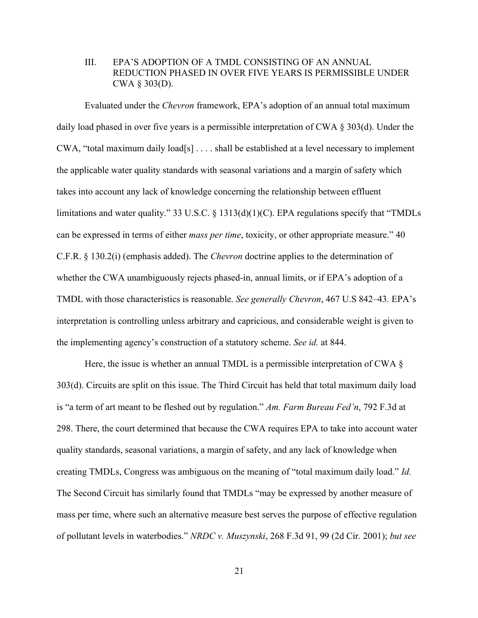### III. EPA'S ADOPTION OF A TMDL CONSISTING OF AN ANNUAL REDUCTION PHASED IN OVER FIVE YEARS IS PERMISSIBLE UNDER CWA § 303(D).

Evaluated under the *Chevron* framework, EPA's adoption of an annual total maximum daily load phased in over five years is a permissible interpretation of CWA § 303(d). Under the  $CWA$ , "total maximum daily load[s]  $\ldots$  shall be established at a level necessary to implement the applicable water quality standards with seasonal variations and a margin of safety which takes into account any lack of knowledge concerning the relationship between effluent limitations and water quality." 33 U.S.C. § 1313(d)(1)(C). EPA regulations specify that "TMDLs can be expressed in terms of either *mass per time*, toxicity, or other appropriate measure." 40 C.F.R. § 130.2(i) (emphasis added). The *Chevron* doctrine applies to the determination of whether the CWA unambiguously rejects phased-in, annual limits, or if EPA's adoption of a TMDL with those characteristics is reasonable. *See generally Chevron*, 467 U.S 842–43*.* EPA's interpretation is controlling unless arbitrary and capricious, and considerable weight is given to the implementing agency's construction of a statutory scheme. *See id.* at 844.

Here, the issue is whether an annual TMDL is a permissible interpretation of CWA  $\S$ 303(d). Circuits are split on this issue. The Third Circuit has held that total maximum daily load is "a term of art meant to be fleshed out by regulation." *Am. Farm Bureau Fed'n*, 792 F.3d at 298. There, the court determined that because the CWA requires EPA to take into account water quality standards, seasonal variations, a margin of safety, and any lack of knowledge when creating TMDLs, Congress was ambiguous on the meaning of "total maximum daily load." *Id.* The Second Circuit has similarly found that TMDLs "may be expressed by another measure of mass per time, where such an alternative measure best serves the purpose of effective regulation of pollutant levels in waterbodies." *NRDC v. Muszynski*, 268 F.3d 91, 99 (2d Cir. 2001); *but see*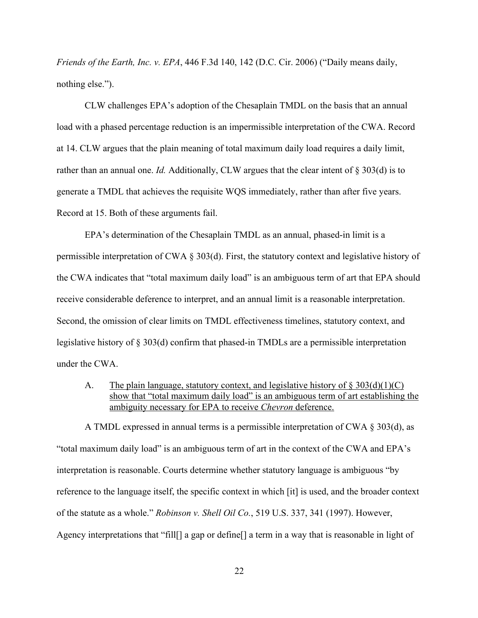*Friends of the Earth, Inc. v. EPA*, 446 F.3d 140, 142 (D.C. Cir. 2006) ("Daily means daily, nothing else.").

CLW challenges EPA's adoption of the Chesaplain TMDL on the basis that an annual load with a phased percentage reduction is an impermissible interpretation of the CWA. Record at 14. CLW argues that the plain meaning of total maximum daily load requires a daily limit, rather than an annual one. *Id.* Additionally, CLW argues that the clear intent of § 303(d) is to generate a TMDL that achieves the requisite WQS immediately, rather than after five years. Record at 15. Both of these arguments fail.

EPA's determination of the Chesaplain TMDL as an annual, phased-in limit is a permissible interpretation of CWA § 303(d). First, the statutory context and legislative history of the CWA indicates that "total maximum daily load" is an ambiguous term of art that EPA should receive considerable deference to interpret, and an annual limit is a reasonable interpretation. Second, the omission of clear limits on TMDL effectiveness timelines, statutory context, and legislative history of § 303(d) confirm that phased-in TMDLs are a permissible interpretation under the CWA.

A. The plain language, statutory context, and legislative history of  $\S 303(d)(1)(C)$ show that "total maximum daily load" is an ambiguous term of art establishing the ambiguity necessary for EPA to receive *Chevron* deference.

A TMDL expressed in annual terms is a permissible interpretation of CWA § 303(d), as "total maximum daily load" is an ambiguous term of art in the context of the CWA and EPA's interpretation is reasonable. Courts determine whether statutory language is ambiguous "by reference to the language itself, the specific context in which [it] is used, and the broader context of the statute as a whole." *Robinson v. Shell Oil Co.*, 519 U.S. 337, 341 (1997). However, Agency interpretations that "fill[] a gap or define[] a term in a way that is reasonable in light of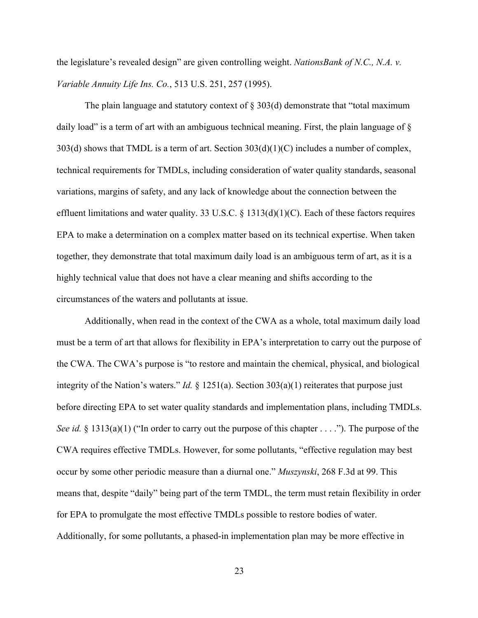the legislature's revealed design" are given controlling weight. *NationsBank of N.C., N.A. v. Variable Annuity Life Ins. Co.*, 513 U.S. 251, 257 (1995).

The plain language and statutory context of  $\S 303(d)$  demonstrate that "total maximum daily load" is a term of art with an ambiguous technical meaning. First, the plain language of §  $303(d)$  shows that TMDL is a term of art. Section  $303(d)(1)(C)$  includes a number of complex, technical requirements for TMDLs, including consideration of water quality standards, seasonal variations, margins of safety, and any lack of knowledge about the connection between the effluent limitations and water quality. 33 U.S.C.  $\S$  1313(d)(1)(C). Each of these factors requires EPA to make a determination on a complex matter based on its technical expertise. When taken together, they demonstrate that total maximum daily load is an ambiguous term of art, as it is a highly technical value that does not have a clear meaning and shifts according to the circumstances of the waters and pollutants at issue.

Additionally, when read in the context of the CWA as a whole, total maximum daily load must be a term of art that allows for flexibility in EPA's interpretation to carry out the purpose of the CWA. The CWA's purpose is "to restore and maintain the chemical, physical, and biological integrity of the Nation's waters." *Id.* § 1251(a). Section 303(a)(1) reiterates that purpose just before directing EPA to set water quality standards and implementation plans, including TMDLs. *See id.* § 1313(a)(1) ("In order to carry out the purpose of this chapter . . . ."). The purpose of the CWA requires effective TMDLs. However, for some pollutants, "effective regulation may best occur by some other periodic measure than a diurnal one." *Muszynski*, 268 F.3d at 99. This means that, despite "daily" being part of the term TMDL, the term must retain flexibility in order for EPA to promulgate the most effective TMDLs possible to restore bodies of water. Additionally, for some pollutants, a phased-in implementation plan may be more effective in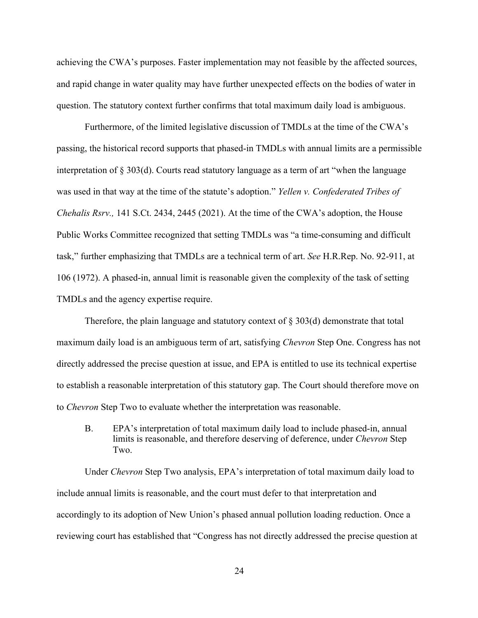achieving the CWA's purposes. Faster implementation may not feasible by the affected sources, and rapid change in water quality may have further unexpected effects on the bodies of water in question. The statutory context further confirms that total maximum daily load is ambiguous.

Furthermore, of the limited legislative discussion of TMDLs at the time of the CWA's passing, the historical record supports that phased-in TMDLs with annual limits are a permissible interpretation of § 303(d). Courts read statutory language as a term of art "when the language was used in that way at the time of the statute's adoption." *Yellen v. Confederated Tribes of Chehalis Rsrv.,* 141 S.Ct. 2434, 2445 (2021). At the time of the CWA's adoption, the House Public Works Committee recognized that setting TMDLs was "a time-consuming and difficult task," further emphasizing that TMDLs are a technical term of art. *See* H.R.Rep. No. 92-911, at 106 (1972). A phased-in, annual limit is reasonable given the complexity of the task of setting TMDLs and the agency expertise require.

Therefore, the plain language and statutory context of § 303(d) demonstrate that total maximum daily load is an ambiguous term of art, satisfying *Chevron* Step One. Congress has not directly addressed the precise question at issue, and EPA is entitled to use its technical expertise to establish a reasonable interpretation of this statutory gap. The Court should therefore move on to *Chevron* Step Two to evaluate whether the interpretation was reasonable.

B. EPA's interpretation of total maximum daily load to include phased-in, annual limits is reasonable, and therefore deserving of deference, under *Chevron* Step Two.

Under *Chevron* Step Two analysis, EPA's interpretation of total maximum daily load to include annual limits is reasonable, and the court must defer to that interpretation and accordingly to its adoption of New Union's phased annual pollution loading reduction. Once a reviewing court has established that "Congress has not directly addressed the precise question at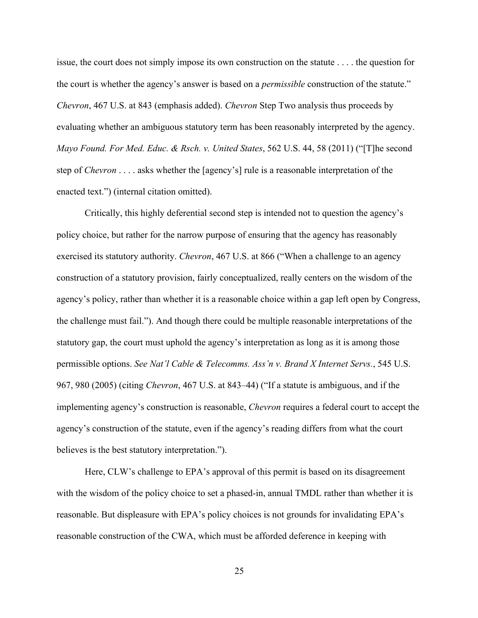issue, the court does not simply impose its own construction on the statute . . . . the question for the court is whether the agency's answer is based on a *permissible* construction of the statute." *Chevron*, 467 U.S. at 843 (emphasis added). *Chevron* Step Two analysis thus proceeds by evaluating whether an ambiguous statutory term has been reasonably interpreted by the agency. *Mayo Found. For Med. Educ. & Rsch. v. United States*, 562 U.S. 44, 58 (2011) ("[T]he second step of *Chevron* . . . . asks whether the [agency's] rule is a reasonable interpretation of the enacted text.") (internal citation omitted).

Critically, this highly deferential second step is intended not to question the agency's policy choice, but rather for the narrow purpose of ensuring that the agency has reasonably exercised its statutory authority. *Chevron*, 467 U.S. at 866 ("When a challenge to an agency construction of a statutory provision, fairly conceptualized, really centers on the wisdom of the agency's policy, rather than whether it is a reasonable choice within a gap left open by Congress, the challenge must fail."). And though there could be multiple reasonable interpretations of the statutory gap, the court must uphold the agency's interpretation as long as it is among those permissible options. *See Nat'l Cable & Telecomms. Ass'n v. Brand X Internet Servs.*, 545 U.S. 967, 980 (2005) (citing *Chevron*, 467 U.S. at 843–44) ("If a statute is ambiguous, and if the implementing agency's construction is reasonable, *Chevron* requires a federal court to accept the agency's construction of the statute, even if the agency's reading differs from what the court believes is the best statutory interpretation.").

Here, CLW's challenge to EPA's approval of this permit is based on its disagreement with the wisdom of the policy choice to set a phased-in, annual TMDL rather than whether it is reasonable. But displeasure with EPA's policy choices is not grounds for invalidating EPA's reasonable construction of the CWA, which must be afforded deference in keeping with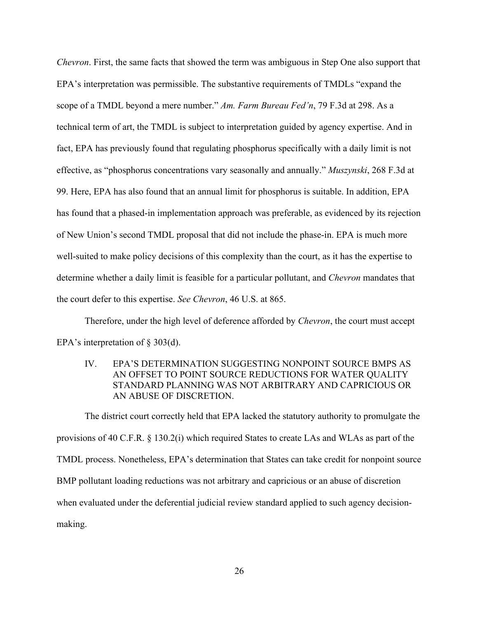*Chevron*. First, the same facts that showed the term was ambiguous in Step One also support that EPA's interpretation was permissible. The substantive requirements of TMDLs "expand the scope of a TMDL beyond a mere number." *Am. Farm Bureau Fed'n*, 79 F.3d at 298. As a technical term of art, the TMDL is subject to interpretation guided by agency expertise. And in fact, EPA has previously found that regulating phosphorus specifically with a daily limit is not effective, as "phosphorus concentrations vary seasonally and annually." *Muszynski*, 268 F.3d at 99. Here, EPA has also found that an annual limit for phosphorus is suitable. In addition, EPA has found that a phased-in implementation approach was preferable, as evidenced by its rejection of New Union's second TMDL proposal that did not include the phase-in. EPA is much more well-suited to make policy decisions of this complexity than the court, as it has the expertise to determine whether a daily limit is feasible for a particular pollutant, and *Chevron* mandates that the court defer to this expertise. *See Chevron*, 46 U.S. at 865.

Therefore, under the high level of deference afforded by *Chevron*, the court must accept EPA's interpretation of § 303(d).

IV. EPA'S DETERMINATION SUGGESTING NONPOINT SOURCE BMPS AS AN OFFSET TO POINT SOURCE REDUCTIONS FOR WATER OUALITY STANDARD PLANNING WAS NOT ARBITRARY AND CAPRICIOUS OR AN ABUSE OF DISCRETION.

The district court correctly held that EPA lacked the statutory authority to promulgate the provisions of 40 C.F.R. § 130.2(i) which required States to create LAs and WLAs as part of the TMDL process. Nonetheless, EPA's determination that States can take credit for nonpoint source BMP pollutant loading reductions was not arbitrary and capricious or an abuse of discretion when evaluated under the deferential judicial review standard applied to such agency decisionmaking.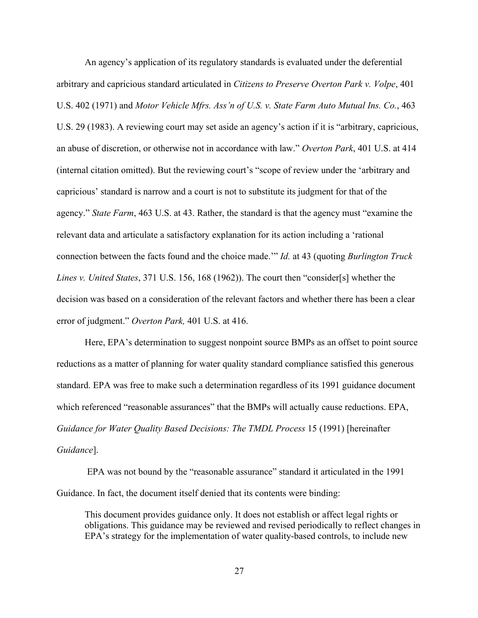An agency's application of its regulatory standards is evaluated under the deferential arbitrary and capricious standard articulated in *Citizens to Preserve Overton Park v. Volpe*, 401 U.S. 402 (1971) and *Motor Vehicle Mfrs. Ass'n of U.S. v. State Farm Auto Mutual Ins. Co.*, 463 U.S. 29 (1983). A reviewing court may set aside an agency's action if it is "arbitrary, capricious, an abuse of discretion, or otherwise not in accordance with law." *Overton Park*, 401 U.S. at 414 (internal citation omitted). But the reviewing court's "scope of review under the 'arbitrary and capricious' standard is narrow and a court is not to substitute its judgment for that of the agency." *State Farm*, 463 U.S. at 43. Rather, the standard is that the agency must "examine the relevant data and articulate a satisfactory explanation for its action including a 'rational connection between the facts found and the choice made.'" *Id.* at 43 (quoting *Burlington Truck Lines v. United States*, 371 U.S. 156, 168 (1962)). The court then "consider[s] whether the decision was based on a consideration of the relevant factors and whether there has been a clear error of judgment." *Overton Park,* 401 U.S. at 416.

Here, EPA's determination to suggest nonpoint source BMPs as an offset to point source reductions as a matter of planning for water quality standard compliance satisfied this generous standard. EPA was free to make such a determination regardless of its 1991 guidance document which referenced "reasonable assurances" that the BMPs will actually cause reductions. EPA, *Guidance for Water Quality Based Decisions: The TMDL Process* 15 (1991) [hereinafter *Guidance*].

EPA was not bound by the "reasonable assurance" standard it articulated in the 1991 Guidance. In fact, the document itself denied that its contents were binding:

This document provides guidance only. It does not establish or affect legal rights or obligations. This guidance may be reviewed and revised periodically to reflect changes in EPA's strategy for the implementation of water quality-based controls, to include new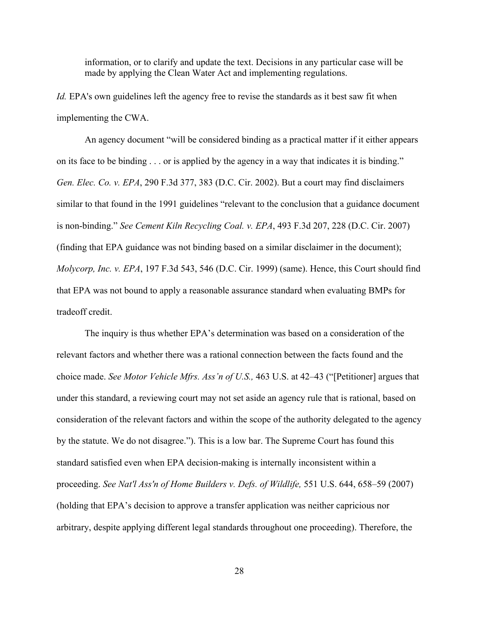information, or to clarify and update the text. Decisions in any particular case will be made by applying the Clean Water Act and implementing regulations.

*Id.* EPA's own guidelines left the agency free to revise the standards as it best saw fit when implementing the CWA.

An agency document "will be considered binding as a practical matter if it either appears on its face to be binding . . . or is applied by the agency in a way that indicates it is binding." *Gen. Elec. Co. v. EPA*, 290 F.3d 377, 383 (D.C. Cir. 2002). But a court may find disclaimers similar to that found in the 1991 guidelines "relevant to the conclusion that a guidance document is non-binding." *See Cement Kiln Recycling Coal. v. EPA*, 493 F.3d 207, 228 (D.C. Cir. 2007) (finding that EPA guidance was not binding based on a similar disclaimer in the document); *Molycorp, Inc. v. EPA*, 197 F.3d 543, 546 (D.C. Cir. 1999) (same). Hence, this Court should find that EPA was not bound to apply a reasonable assurance standard when evaluating BMPs for tradeoff credit.

The inquiry is thus whether EPA's determination was based on a consideration of the relevant factors and whether there was a rational connection between the facts found and the choice made. *See Motor Vehicle Mfrs. Ass'n of U.S.,* 463 U.S. at 42–43 ("[Petitioner] argues that under this standard, a reviewing court may not set aside an agency rule that is rational, based on consideration of the relevant factors and within the scope of the authority delegated to the agency by the statute. We do not disagree."). This is a low bar. The Supreme Court has found this standard satisfied even when EPA decision-making is internally inconsistent within a proceeding. *See Nat'l Ass'n of Home Builders v. Defs. of Wildlife,* 551 U.S. 644, 658–59 (2007) (holding that EPA's decision to approve a transfer application was neither capricious nor arbitrary, despite applying different legal standards throughout one proceeding). Therefore, the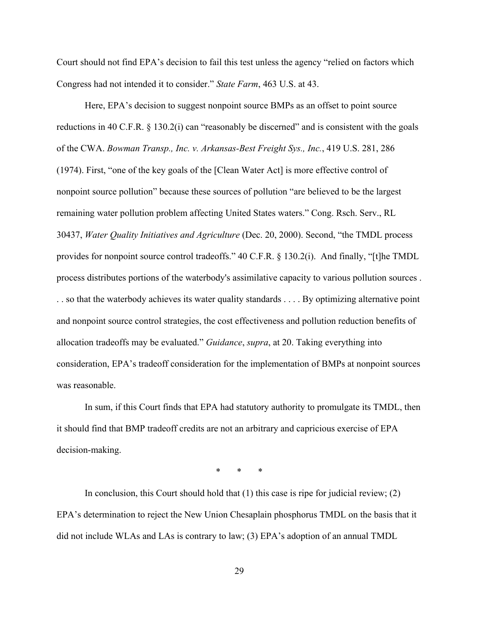Court should not find EPA's decision to fail this test unless the agency "relied on factors which Congress had not intended it to consider." *State Farm*, 463 U.S. at 43.

Here, EPA's decision to suggest nonpoint source BMPs as an offset to point source reductions in 40 C.F.R. § 130.2(i) can "reasonably be discerned" and is consistent with the goals of the CWA. *Bowman Transp., Inc. v. Arkansas-Best Freight Sys., Inc.*, 419 U.S. 281, 286 (1974). First, "one of the key goals of the [Clean Water Act] is more effective control of nonpoint source pollution" because these sources of pollution "are believed to be the largest remaining water pollution problem affecting United States waters." Cong. Rsch. Serv., RL 30437, *Water Quality Initiatives and Agriculture* (Dec. 20, 2000). Second, "the TMDL process provides for nonpoint source control tradeoffs." 40 C.F.R. § 130.2(i). And finally, "[t]he TMDL process distributes portions of the waterbody's assimilative capacity to various pollution sources . . . so that the waterbody achieves its water quality standards . . . . By optimizing alternative point and nonpoint source control strategies, the cost effectiveness and pollution reduction benefits of allocation tradeoffs may be evaluated." *Guidance*, *supra*, at 20. Taking everything into consideration, EPA's tradeoff consideration for the implementation of BMPs at nonpoint sources was reasonable.

In sum, if this Court finds that EPA had statutory authority to promulgate its TMDL, then it should find that BMP tradeoff credits are not an arbitrary and capricious exercise of EPA decision-making.

\* \* \*

In conclusion, this Court should hold that  $(1)$  this case is ripe for judicial review;  $(2)$ EPA's determination to reject the New Union Chesaplain phosphorus TMDL on the basis that it did not include WLAs and LAs is contrary to law; (3) EPA's adoption of an annual TMDL